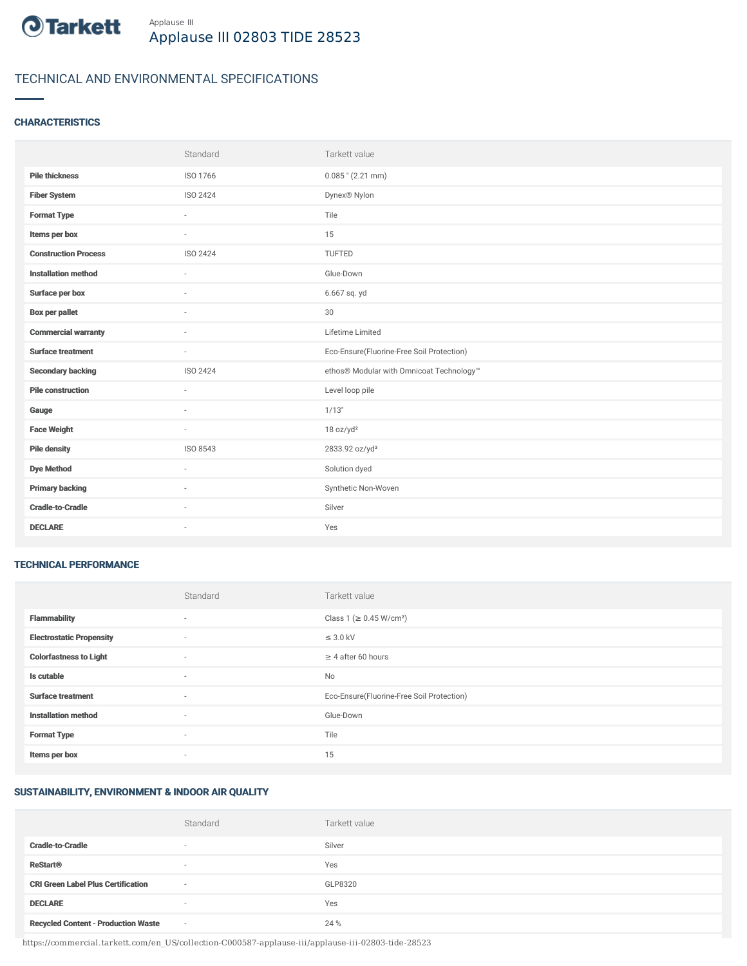

# TECHNICAL AND ENVIRONMENTAL SPECIFICATIONS

#### **CHARACTERISTICS**

|                             | Standard        | Tarkett value                             |
|-----------------------------|-----------------|-------------------------------------------|
| <b>Pile thickness</b>       | ISO 1766        | $0.085$ " (2.21 mm)                       |
| <b>Fiber System</b>         | ISO 2424        | Dynex® Nylon                              |
| <b>Format Type</b>          | ٠               | Tile                                      |
| Items per box               |                 | 15                                        |
| <b>Construction Process</b> | <b>ISO 2424</b> | TUFTED                                    |
| <b>Installation method</b>  | ÷               | Glue-Down                                 |
| Surface per box             | $\sim$          | 6.667 sq. yd                              |
| <b>Box per pallet</b>       | ×.              | 30                                        |
| <b>Commercial warranty</b>  |                 | Lifetime Limited                          |
|                             |                 |                                           |
| <b>Surface treatment</b>    | $\sim$          | Eco-Ensure(Fluorine-Free Soil Protection) |
| <b>Secondary backing</b>    | ISO 2424        | ethos® Modular with Omnicoat Technology™  |
| <b>Pile construction</b>    | $\sim$          | Level loop pile                           |
| Gauge                       | $\sim$          | 1/13"                                     |
| <b>Face Weight</b>          | $\sim$          | 18 oz/yd <sup>2</sup>                     |
| <b>Pile density</b>         | ISO 8543        | 2833.92 oz/yd <sup>3</sup>                |
| <b>Dye Method</b>           | $\sim$          | Solution dyed                             |
| <b>Primary backing</b>      | $\sim$          | Synthetic Non-Woven                       |
| <b>Cradle-to-Cradle</b>     |                 | Silver                                    |

#### TECHNICAL PERFORMANCE

|                                 | Standard                 | Tarkett value                             |
|---------------------------------|--------------------------|-------------------------------------------|
| <b>Flammability</b>             | ٠                        | Class 1 (≥ 0.45 W/cm <sup>2</sup> )       |
| <b>Electrostatic Propensity</b> | $\sim$                   | $\leq$ 3.0 kV                             |
| <b>Colorfastness to Light</b>   | ٠                        | $\geq 4$ after 60 hours                   |
| Is cutable                      | ٠                        | No                                        |
| <b>Surface treatment</b>        | ٠                        | Eco-Ensure(Fluorine-Free Soil Protection) |
| <b>Installation method</b>      | ٠                        | Glue-Down                                 |
| <b>Format Type</b>              | $\sim$                   | Tile                                      |
| Items per box                   | $\overline{\phantom{a}}$ | 15                                        |

### SUSTAINABILITY, ENVIRONMENT & INDOOR AIR QUALITY

|                                            | Standard                 | Tarkett value |
|--------------------------------------------|--------------------------|---------------|
| <b>Cradle-to-Cradle</b>                    | $\overline{\phantom{a}}$ | Silver        |
| <b>ReStart<sup>®</sup></b>                 | $\overline{\phantom{a}}$ | Yes           |
| <b>CRI Green Label Plus Certification</b>  | $\sim$                   | GLP8320       |
| <b>DECLARE</b>                             | $\overline{\phantom{a}}$ | Yes           |
| <b>Recycled Content - Production Waste</b> | $\sim$                   | 24 %          |

https://commercial.tarkett.com/en\_US/collection-C000587-applause-iii/applause-iii-02803-tide-28523